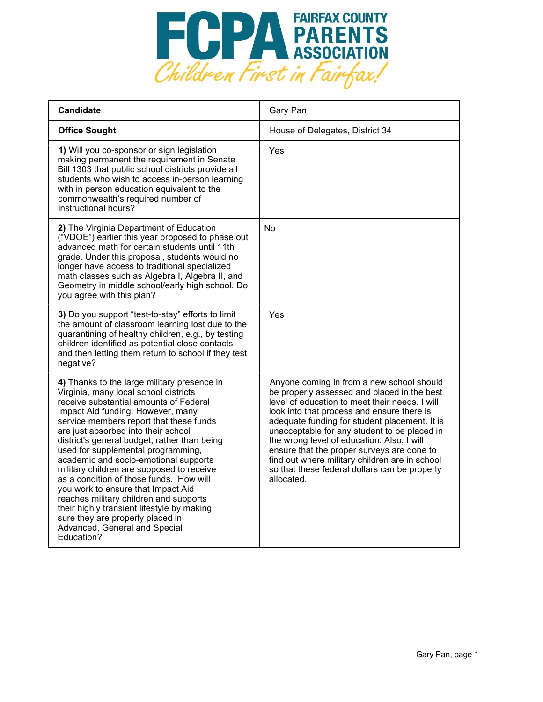

| <b>Candidate</b>                                                                                                                                                                                                                                                                                                                                                                                                                                                                                                                                                                                                                                                                              | Gary Pan                                                                                                                                                                                                                                                                                                                                                                                                                                                                                               |
|-----------------------------------------------------------------------------------------------------------------------------------------------------------------------------------------------------------------------------------------------------------------------------------------------------------------------------------------------------------------------------------------------------------------------------------------------------------------------------------------------------------------------------------------------------------------------------------------------------------------------------------------------------------------------------------------------|--------------------------------------------------------------------------------------------------------------------------------------------------------------------------------------------------------------------------------------------------------------------------------------------------------------------------------------------------------------------------------------------------------------------------------------------------------------------------------------------------------|
| <b>Office Sought</b>                                                                                                                                                                                                                                                                                                                                                                                                                                                                                                                                                                                                                                                                          | House of Delegates, District 34                                                                                                                                                                                                                                                                                                                                                                                                                                                                        |
| 1) Will you co-sponsor or sign legislation<br>making permanent the requirement in Senate<br>Bill 1303 that public school districts provide all<br>students who wish to access in-person learning<br>with in person education equivalent to the<br>commonwealth's required number of<br>instructional hours?                                                                                                                                                                                                                                                                                                                                                                                   | Yes                                                                                                                                                                                                                                                                                                                                                                                                                                                                                                    |
| 2) The Virginia Department of Education<br>("VDOE") earlier this year proposed to phase out<br>advanced math for certain students until 11th<br>grade. Under this proposal, students would no<br>longer have access to traditional specialized<br>math classes such as Algebra I, Algebra II, and<br>Geometry in middle school/early high school. Do<br>you agree with this plan?                                                                                                                                                                                                                                                                                                             | No                                                                                                                                                                                                                                                                                                                                                                                                                                                                                                     |
| 3) Do you support "test-to-stay" efforts to limit<br>the amount of classroom learning lost due to the<br>quarantining of healthy children, e.g., by testing<br>children identified as potential close contacts<br>and then letting them return to school if they test<br>negative?                                                                                                                                                                                                                                                                                                                                                                                                            | Yes                                                                                                                                                                                                                                                                                                                                                                                                                                                                                                    |
| 4) Thanks to the large military presence in<br>Virginia, many local school districts<br>receive substantial amounts of Federal<br>Impact Aid funding. However, many<br>service members report that these funds<br>are just absorbed into their school<br>district's general budget, rather than being<br>used for supplemental programming,<br>academic and socio-emotional supports<br>military children are supposed to receive<br>as a condition of those funds. How will<br>you work to ensure that Impact Aid<br>reaches military children and supports<br>their highly transient lifestyle by making<br>sure they are properly placed in<br>Advanced, General and Special<br>Education? | Anyone coming in from a new school should<br>be properly assessed and placed in the best<br>level of education to meet their needs. I will<br>look into that process and ensure there is<br>adequate funding for student placement. It is<br>unacceptable for any student to be placed in<br>the wrong level of education. Also, I will<br>ensure that the proper surveys are done to<br>find out where military children are in school<br>so that these federal dollars can be properly<br>allocated. |